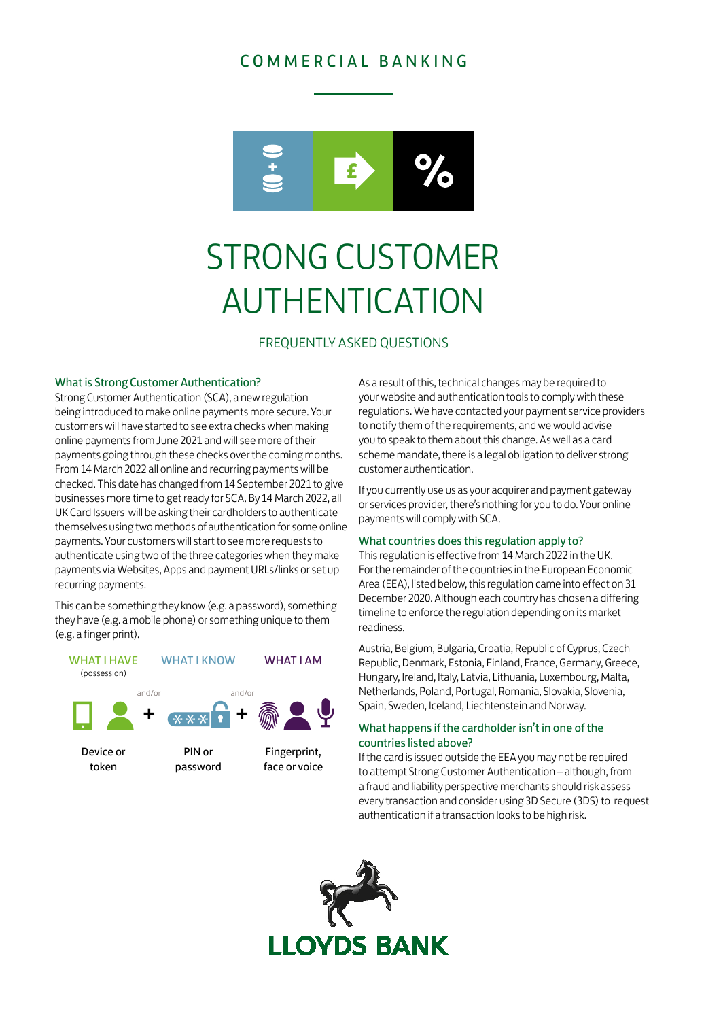# COMMERCIAL BANKING



# STRONG CUSTOMER AUTHENTICATION

### FREQUENTLY ASKED QUESTIONS

#### What is Strong Customer Authentication?

Strong Customer Authentication (SCA), a new regulation being introduced to make online payments more secure. Your customers will have started to see extra checks when making online payments from June 2021 and will see more of their payments going through these checks over the coming months. From 14 March 2022 all online and recurring payments will be checked. This date has changed from 14 September 2021 to give businesses more time to get ready for SCA. By 14 March 2022, all UK Card Issuers will be asking their cardholders to authenticate themselves using two methods of authentication for some online payments. Your customers will start to see more requests to authenticate using two of the three categories when they make payments via Websites, Apps and payment URLs/links or set up recurring payments.

This can be something they know (e.g. a password), something they have (e.g. a mobile phone) or something unique to them (e.g. a finger print).



As a result of this, technical changes may be required to your website and authentication tools to comply with these regulations. We have contacted your payment service providers to notify them of the requirements, and we would advise you to speak to them about this change. As well as a card scheme mandate, there is a legal obligation to deliver strong customer authentication.

If you currently use us as your acquirer and payment gateway or services provider, there's nothing for you to do. Your online payments will comply with SCA.

#### What countries does this regulation apply to?

This regulation is effective from 14 March 2022 in the UK. For the remainder of the countries in the European Economic Area (EEA), listed below, this regulation came into effect on 31 December 2020. Although each country has chosen a differing timeline to enforce the regulation depending on its market readiness.

Austria, Belgium, Bulgaria, Croatia, Republic of Cyprus, Czech Republic, Denmark, Estonia, Finland, France, Germany, Greece, Hungary, Ireland, Italy, Latvia, Lithuania, Luxembourg, Malta, Netherlands, Poland, Portugal, Romania, Slovakia, Slovenia, Spain, Sweden, Iceland, Liechtenstein and Norway.

#### What happens if the cardholder isn't in one of the countries listed above?

If the card is issued outside the EEA you may not be required to attempt Strong Customer Authentication – although, from a fraud and liability perspective merchants should risk assess every transaction and consider using 3D Secure (3DS) to request authentication if a transaction looks to be high risk.

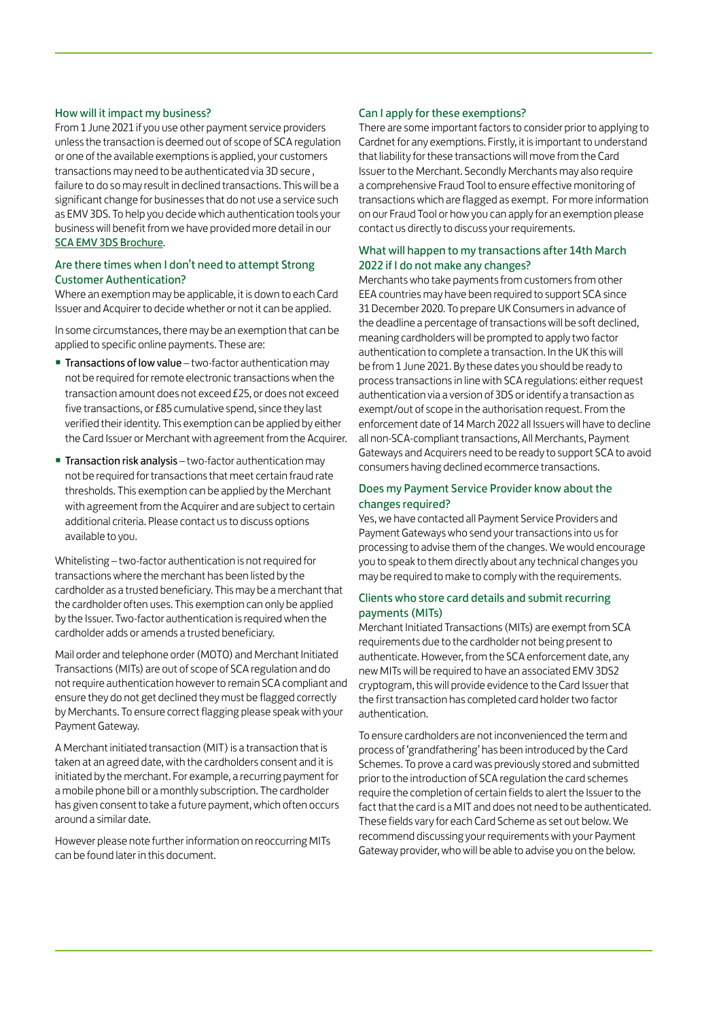#### How will it impact my business?

From 1 June 2021 if you use other payment service providers unless the transaction is deemed out of scope of SCA regulation or one of the available exemptions is applied, your customers transactions may need to be authenticated via 3D secure , failure to do so may result in declined transactions. This will be a significant change for businesses that do not use a service such as EMV 3DS. To help you decide which authentication tools your business will benefit from we have provided more detail in our [SCA EMV 3DS Brochure](https://www.lloydsbankcardnet.com/assets/content/pdf/sca_emv_3d_secure.pdf).

#### Are there times when I don't need to attempt Strong Customer Authentication?

Where an exemption may be applicable, it is down to each Card Issuer and Acquirer to decide whether or not it can be applied.

In some circumstances, there may be an exemption that can be applied to specific online payments. These are:

- **Transactions of low value** two-factor authentication may not be required for remote electronic transactions when the transaction amount does not exceed £25, or does not exceed five transactions, or £85 cumulative spend, since they last verified their identity. This exemption can be applied by either the Card Issuer or Merchant with agreement from the Acquirer.
- **Transaction risk analysis** two-factor authentication may not be required for transactions that meet certain fraud rate thresholds. This exemption can be applied by the Merchant with agreement from the Acquirer and are subject to certain additional criteria. Please contact us to discuss options available to you.

Whitelisting – two-factor authentication is not required for transactions where the merchant has been listed by the cardholder as a trusted beneficiary. This may be a merchant that the cardholder often uses. This exemption can only be applied by the Issuer. Two-factor authentication is required when the cardholder adds or amends a trusted beneficiary.

Mail order and telephone order (MOTO) and Merchant Initiated Transactions (MITs) are out of scope of SCA regulation and do not require authentication however to remain SCA compliant and ensure they do not get declined they must be flagged correctly by Merchants. To ensure correct flagging please speak with your Payment Gateway.

A Merchant initiated transaction (MIT) is a transaction that is taken at an agreed date, with the cardholders consent and it is initiated by the merchant. For example, a recurring payment for a mobile phone bill or a monthly subscription. The cardholder has given consent to take a future payment, which often occurs around a similar date.

However please note further information on reoccurring MITs can be found later in this document.

#### Can I apply for these exemptions?

There are some important factors to consider prior to applying to Cardnet for any exemptions. Firstly, it is important to understand that liability for these transactions will move from the Card Issuer to the Merchant. Secondly Merchants may also require a comprehensive Fraud Tool to ensure effective monitoring of transactions which are flagged as exempt. For more information on our Fraud Tool or how you can apply for an exemption please contact us directly to discuss your requirements.

#### What will happen to my transactions after 14th March 2022 if I do not make any changes?

Merchants who take payments from customers from other EEA countries may have been required to support SCA since 31 December 2020. To prepare UK Consumers in advance of the deadline a percentage of transactions will be soft declined, meaning cardholders will be prompted to apply two factor authentication to complete a transaction. In the UK this will be from 1 June 2021. By these dates you should be ready to process transactions in line with SCA regulations: either request authentication via a version of 3DS or identify a transaction as exempt/out of scope in the authorisation request. From the enforcement date of 14 March 2022 all Issuers will have to decline all non-SCA-compliant transactions, All Merchants, Payment Gateways and Acquirers need to be ready to support SCA to avoid consumers having declined ecommerce transactions.

#### Does my Payment Service Provider know about the changes required?

Yes, we have contacted all Payment Service Providers and Payment Gateways who send your transactions into us for processing to advise them of the changes. We would encourage you to speak to them directly about any technical changes you may be required to make to comply with the requirements.

#### Clients who store card details and submit recurring payments (MITs)

Merchant Initiated Transactions (MITs) are exempt from SCA requirements due to the cardholder not being present to authenticate. However, from the SCA enforcement date, any new MITs will be required to have an associated EMV 3DS2 cryptogram, this will provide evidence to the Card Issuer that the first transaction has completed card holder two factor authentication.

To ensure cardholders are not inconvenienced the term and process of 'grandfathering' has been introduced by the Card Schemes. To prove a card was previously stored and submitted prior to the introduction of SCA regulation the card schemes require the completion of certain fields to alert the Issuer to the fact that the card is a MIT and does not need to be authenticated. These fields vary for each Card Scheme as set out below. We recommend discussing your requirements with your Payment Gateway provider, who will be able to advise you on the below.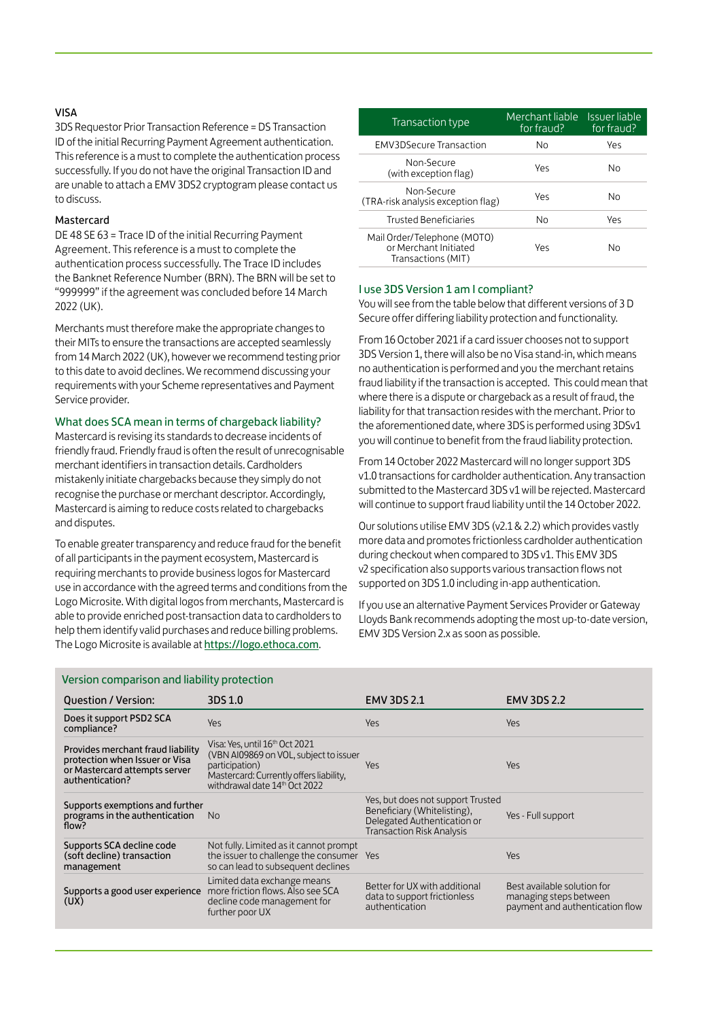#### VISA

3DS Requestor Prior Transaction Reference = DS Transaction ID of the initial Recurring Payment Agreement authentication. This reference is a must to complete the authentication process successfully. If you do not have the original Transaction ID and are unable to attach a EMV 3DS2 cryptogram please contact us to discuss.

#### Mastercard

DE 48 SE 63 = Trace ID of the initial Recurring Payment Agreement. This reference is a must to complete the authentication process successfully. The Trace ID includes the Banknet Reference Number (BRN). The BRN will be set to "999999" if the agreement was concluded before 14 March 2022 (UK).

Merchants must therefore make the appropriate changes to their MITs to ensure the transactions are accepted seamlessly from 14 March 2022 (UK), however we recommend testing prior to this date to avoid declines. We recommend discussing your requirements with your Scheme representatives and Payment Service provider.

#### What does SCA mean in terms of chargeback liability?

Mastercard is revising its standards to decrease incidents of friendly fraud. Friendly fraud is often the result of unrecognisable merchant identifiers in transaction details. Cardholders mistakenly initiate chargebacks because they simply do not recognise the purchase or merchant descriptor. Accordingly, Mastercard is aiming to reduce costs related to chargebacks and disputes.

To enable greater transparency and reduce fraud for the benefit of all participants in the payment ecosystem, Mastercard is requiring merchants to provide business logos for Mastercard use in accordance with the agreed terms and conditions from the Logo Microsite. With digital logos from merchants, Mastercard is able to provide enriched post-transaction data to cardholders to help them identify valid purchases and reduce billing problems. The Logo Microsite is available at <https://logo.ethoca.com>.

| Transaction type                                                           | Merchant liable<br>for fraud? | <b>Issuer liable</b><br>for fraud? |
|----------------------------------------------------------------------------|-------------------------------|------------------------------------|
| <b>EMV3DSecure Transaction</b>                                             | No                            | Yes                                |
| Non-Secure<br>(with exception flag)                                        | Yes                           | Nο                                 |
| Non-Secure<br>(TRA-risk analysis exception flag)                           | Yes                           | Nο                                 |
| <b>Trusted Beneficiaries</b>                                               | Nο                            | Yes                                |
| Mail Order/Telephone (MOTO)<br>or Merchant Initiated<br>Transactions (MIT) | Yes                           | Nο                                 |

#### I use 3DS Version 1 am I compliant?

You will see from the table below that different versions of 3 D Secure offer differing liability protection and functionality.

From 16 October 2021 if a card issuer chooses not to support 3DS Version 1, there will also be no Visa stand-in, which means no authentication is performed and you the merchant retains fraud liability if the transaction is accepted. This could mean that where there is a dispute or chargeback as a result of fraud, the liability for that transaction resides with the merchant. Prior to the aforementioned date, where 3DS is performed using 3DSv1 you will continue to benefit from the fraud liability protection.

From 14 October 2022 Mastercard will no longer support 3DS v1.0 transactions for cardholder authentication. Any transaction submitted to the Mastercard 3DS v1 will be rejected. Mastercard will continue to support fraud liability until the 14 October 2022.

Our solutions utilise EMV 3DS (v2.1 & 2.2) which provides vastly more data and promotes frictionless cardholder authentication during checkout when compared to 3DS v1. This EMV 3DS v2 specification also supports various transaction flows not supported on 3DS 1.0 including in-app authentication.

If you use an alternative Payment Services Provider or Gateway Lloyds Bank recommends adopting the most up-to-date version, EMV 3DS Version 2.x as soon as possible.

| Version companison and nability protection                                                                              |                                                                                                                                                                                    |                                                                                                                                     |                                                                                          |  |
|-------------------------------------------------------------------------------------------------------------------------|------------------------------------------------------------------------------------------------------------------------------------------------------------------------------------|-------------------------------------------------------------------------------------------------------------------------------------|------------------------------------------------------------------------------------------|--|
| <b>Question / Version:</b>                                                                                              | 3DS 1.0                                                                                                                                                                            | <b>EMV 3DS 2.1</b>                                                                                                                  | <b>EMV 3DS 2.2</b>                                                                       |  |
| Does it support PSD2 SCA<br>compliance?                                                                                 | Yes                                                                                                                                                                                | Yes                                                                                                                                 | Yes                                                                                      |  |
| Provides merchant fraud liability<br>protection when Issuer or Visa<br>or Mastercard attempts server<br>authentication? | Visa: Yes, until 16 <sup>th</sup> Oct 2021<br>(VBN AI09869 on VOL, subject to issuer<br>participation)<br>Mastercard: Currently offers liability,<br>withdrawal date 14th Oct 2022 | Yes                                                                                                                                 | Yes                                                                                      |  |
| Supports exemptions and further<br>programs in the authentication<br>flow?                                              | No.                                                                                                                                                                                | Yes, but does not support Trusted<br>Beneficiary (Whitelisting),<br>Delegated Authentication or<br><b>Transaction Risk Analysis</b> | Yes - Full support                                                                       |  |
| Supports SCA decline code<br>(soft decline) transaction<br>management                                                   | Not fully. Limited as it cannot prompt<br>the issuer to challenge the consumer Yes<br>so can lead to subsequent declines                                                           |                                                                                                                                     | Yes                                                                                      |  |
| Supports a good user experience<br>(UX)                                                                                 | Limited data exchange means<br>more friction flows. Also see SCA<br>decline code management for<br>further poor UX                                                                 | Better for UX with additional<br>data to support frictionless<br>authentication                                                     | Best available solution for<br>managing steps between<br>payment and authentication flow |  |

## Version comparison and liability protection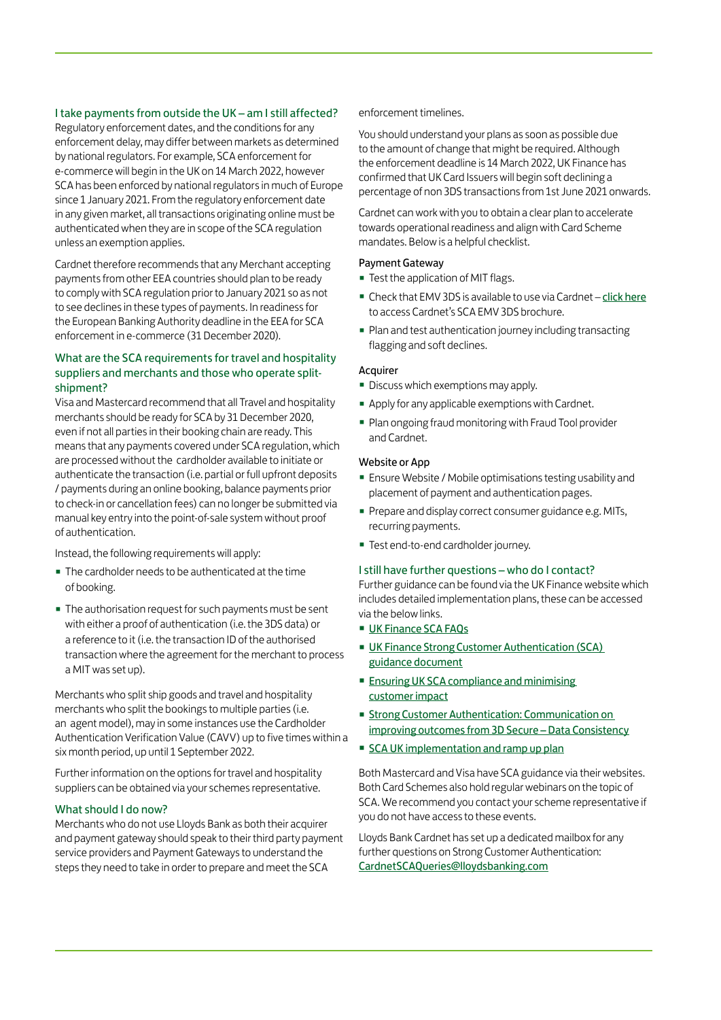#### I take payments from outside the UK – am I still affected?

Regulatory enforcement dates, and the conditions for any enforcement delay, may differ between markets as determined by national regulators. For example, SCA enforcement for e-commerce will begin in the UK on 14 March 2022, however SCA has been enforced by national regulators in much of Europe since 1 January 2021. From the regulatory enforcement date in any given market, all transactions originating online must be authenticated when they are in scope of the SCA regulation unless an exemption applies.

Cardnet therefore recommends that any Merchant accepting payments from other EEA countries should plan to be ready to comply with SCA regulation prior to January 2021 so as not to see declines in these types of payments. In readiness for the European Banking Authority deadline in the EEA for SCA enforcement in e-commerce (31 December 2020).

#### What are the SCA requirements for travel and hospitality suppliers and merchants and those who operate splitshipment?

Visa and Mastercard recommend that all Travel and hospitality merchants should be ready for SCA by 31 December 2020, even if not all parties in their booking chain are ready. This means that any payments covered under SCA regulation, which are processed without the cardholder available to initiate or authenticate the transaction (i.e. partial or full upfront deposits / payments during an online booking, balance payments prior to check-in or cancellation fees) can no longer be submitted via manual key entry into the point-of-sale system without proof of authentication.

Instead, the following requirements will apply:

- The cardholder needs to be authenticated at the time of booking.
- The authorisation request for such payments must be sent with either a proof of authentication (i.e. the 3DS data) or a reference to it (i.e. the transaction ID of the authorised transaction where the agreement for the merchant to process a MIT was set up).

Merchants who split ship goods and travel and hospitality merchants who split the bookings to multiple parties (i.e. an agent model), may in some instances use the Cardholder Authentication Verification Value (CAVV) up to five times within a six month period, up until 1 September 2022.

Further information on the options for travel and hospitality suppliers can be obtained via your schemes representative.

#### What should I do now?

Merchants who do not use Lloyds Bank as both their acquirer and payment gateway should speak to their third party payment service providers and Payment Gateways to understand the steps they need to take in order to prepare and meet the SCA

enforcement timelines.

You should understand your plans as soon as possible due to the amount of change that might be required. Although the enforcement deadline is 14 March 2022, UK Finance has confirmed that UK Card Issuers will begin soft declining a percentage of non 3DS transactions from 1st June 2021 onwards.

Cardnet can work with you to obtain a clear plan to accelerate towards operational readiness and align with Card Scheme mandates. Below is a helpful checklist.

#### Payment Gateway

- **Test the application of MIT flags.**
- Check that EMV 3DS is available to use via Cardnet [click here](https://www.lloydsbankcardnet.com/assets/content/pdf/sca_emv_3d_secure.pdf) to access Cardnet's SCA EMV 3DS brochure.
- Plan and test authentication journey including transacting flagging and soft declines.

#### Acquirer

- Discuss which exemptions may apply.
- Apply for any applicable exemptions with Cardnet.
- Plan ongoing fraud monitoring with Fraud Tool provider and Cardnet.

#### Website or App

- Ensure Website / Mobile optimisations testing usability and placement of payment and authentication pages.
- Prepare and display correct consumer guidance e.g. MITs, recurring payments.
- **Test end-to-end cardholder journey.**

#### I still have further questions – who do I contact?

Further guidance can be found via the UK Finance website which includes detailed implementation plans, these can be accessed via the below links.

- [UK Finance SCA FAQs](http://www.ukfinance.org.uk/strong-customer-authentication/frequently-asked-questions)
- **[UK Finance Strong Customer Authentication \(SCA\)](https://www.ukfinance.org.uk/system/files/UK%20Finance%20SCA%20Guidance%20Document%20-%201%20October%202020.pdf)** [guidance document](https://www.ukfinance.org.uk/system/files/UK%20Finance%20SCA%20Guidance%20Document%20-%201%20October%202020.pdf)
- **Ensuring UK SCA compliance and minimising** [customer impact](https://www.ukfinance.org.uk/news-and-insight/blogs/ensuring-uk-sca-compliance-minimising-customer-impact)
- **Example 2** Strong Customer Authentication: Communication on [improving outcomes from 3D Secure](https://www.ukfinance.org.uk/system/files/Strong%20Customer%20Authentication%20-%20Communication%20on%20improving%20outcomes%20from%203DSecure%20%E2%80%93%20Data%20Consistency_1.pdf) – Data Consistency
- **[SCA UK implementation and ramp up plan](https://www.ukfinance.org.uk/system/files/SCA%20UK%20Implementation%20and%20ramp%20up%20plan%20Nov%202020.pdf)**

Both Mastercard and Visa have SCA guidance via their websites. Both Card Schemes also hold regular webinars on the topic of SCA. We recommend you contact your scheme representative if you do not have access to these events.

Lloyds Bank Cardnet has set up a dedicated mailbox for any further questions on Strong Customer Authentication: [CardnetSCAQueries@lloydsbanking.com](mailto:CardnetSCAQueries%40lloydsbanking.com?subject=Strong%20Customer%20Authentication%20FAQs)